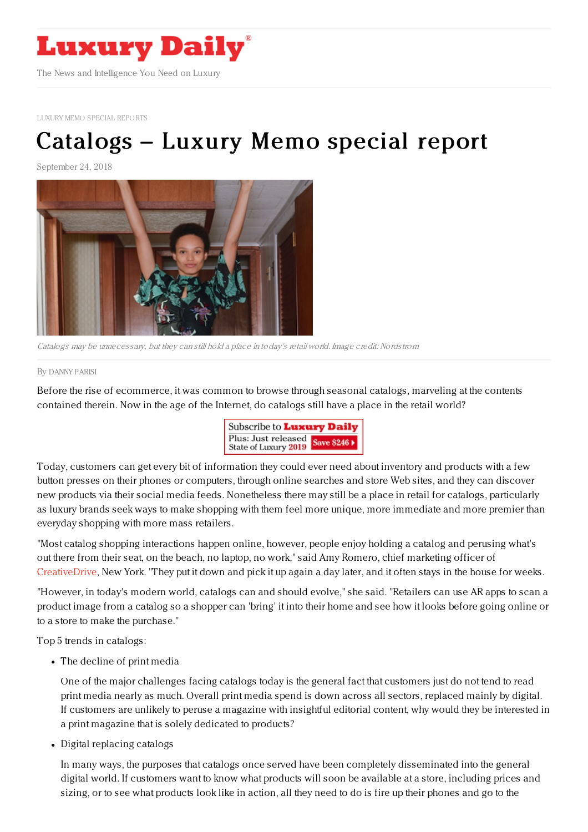

LUXURY MEMO SPECIAL [REPORTS](file:///tmp/www.luxurydaily.com/category/luxury-memo-special-reports)

## [Catalogs](https://www.luxurydaily.com/catalogs-luxury-memo-special-report-2/) – Luxury Memo special report

September 24, 2018



Catalogs may be unnecessary, but they can still hold <sup>a</sup> place in today's retail world. Image credit: Nordstrom

## By [DANNY](file:///author/danny-parisi) PARISI

Before the rise of ecommerce, it was common to browse through seasonal catalogs, marveling at the contents contained therein. Now in the age of the Internet, do catalogs still have a place in the retail world?



Today, customers can get every bit of information they could ever need about inventory and products with a few button presses on their phones or computers, through online searches and store Web sites, and they can discover new products via their social media feeds. Nonetheless there may still be a place in retail for catalogs, particularly as luxury brands seek ways to make shopping with them feel more unique, more immediate and more premier than everyday shopping with more mass retailers.

"Most catalog shopping interactions happen online, however, people enjoy holding a catalog and perusing what's out there from their seat, on the beach, no laptop, no work," said Amy Romero, chief marketing officer of [CreativeDrive](https://www.creativedrive.com/), New York. "They put it down and pick it up again a day later, and it often stays in the house for weeks.

"However, in today's modern world, catalogs can and should evolve," she said. "Retailers can use AR apps to scan a product image from a catalog so a shopper can 'bring' it into their home and see how it looks before going online or to a store to make the purchase."

Top 5 trends in catalogs:

The decline of print media

One of the major challenges facing catalogs today is the general fact that customers just do not tend to read print media nearly as much. Overall print media spend is down across all sectors, replaced mainly by digital. If customers are unlikely to peruse a magazine with insightful editorial content, why would they be interested in a print magazine that is solely dedicated to products?

Digital replacing catalogs

In many ways, the purposes that catalogs once served have been completely disseminated into the general digital world. If customers want to know what products will soon be available at a store, including prices and sizing, or to see what products look like in action, all they need to do is fire up their phones and go to the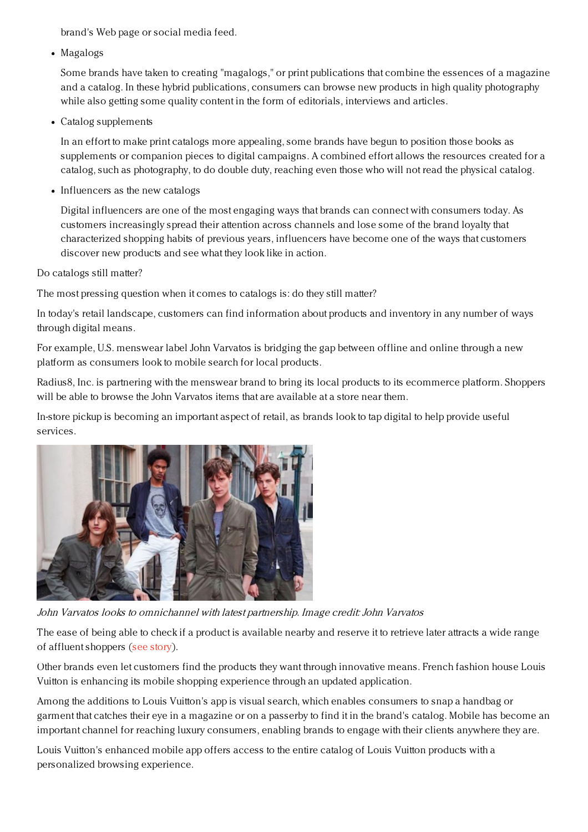brand's Web page or social media feed.

Magalogs

Some brands have taken to creating "magalogs," or print publications that combine the essences of a magazine and a catalog. In these hybrid publications, consumers can browse new products in high quality photography while also getting some quality content in the form of editorials, interviews and articles.

Catalog supplements

In an effort to make print catalogs more appealing, some brands have begun to position those books as supplements or companion pieces to digital campaigns. A combined effort allows the resources created for a catalog, such as photography, to do double duty, reaching even those who will not read the physical catalog.

• Influencers as the new catalogs

Digital influencers are one of the most engaging ways that brands can connect with consumers today. As customers increasingly spread their attention across channels and lose some of the brand loyalty that characterized shopping habits of previous years, influencers have become one of the ways that customers discover new products and see what they look like in action.

Do catalogs still matter?

The most pressing question when it comes to catalogs is: do they still matter?

In today's retail landscape, customers can find information about products and inventory in any number of ways through digital means.

For example, U.S. menswear label John Varvatos is bridging the gap between offline and online through a new platform as consumers look to mobile search for local products.

Radius8, Inc. is partnering with the menswear brand to bring its local products to its ecommerce platform. Shoppers will be able to browse the John Varvatos items that are available at a store near them.

In-store pickup is becoming an important aspect of retail, as brands look to tap digital to help provide useful services.



John Varvatos looks to omnichannel with latest partnership. Image credit: John Varvatos

The ease of being able to check if a product is available nearby and reserve it to retrieve later attracts a wide range of affluent shoppers (see [story](https://www.luxurydaily.com/john-varvatos-solidifies-omnichannel-presence-with-localized-inventory/)).

Other brands even let customers find the products they want through innovative means. French fashion house Louis Vuitton is enhancing its mobile shopping experience through an updated application.

Among the additions to Louis Vuitton's app is visual search, which enables consumers to snap a handbag or garment that catches their eye in a magazine or on a passerby to find it in the brand's catalog. Mobile has become an important channel for reaching luxury consumers, enabling brands to engage with their clients anywhere they are.

Louis Vuitton's enhanced mobile app offers access to the entire catalog of Louis Vuitton products with a personalized browsing experience.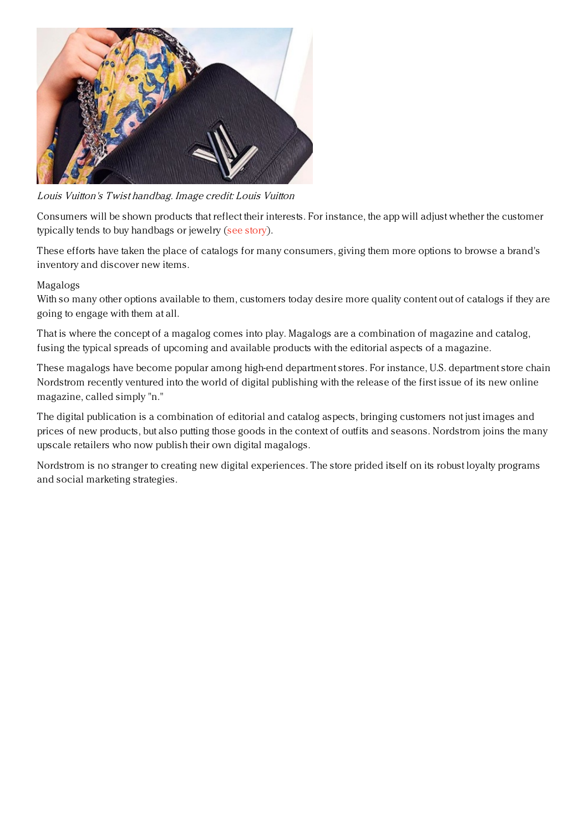

Louis Vuitton's Twist handbag. Image credit: Louis Vuitton

Consumers will be shown products that reflect their interests. For instance, the app will adjust whether the customer typically tends to buy handbags or jewelry (see [story](https://www.luxurydaily.com/louis-vuitton-adds-visual-search-to-mobile-app/)).

These efforts have taken the place of catalogs for many consumers, giving them more options to browse a brand's inventory and discover new items.

## Magalogs

With so many other options available to them, customers today desire more quality content out of catalogs if they are going to engage with them at all.

That is where the concept of a magalog comes into play. Magalogs are a combination of magazine and catalog, fusing the typical spreads of upcoming and available products with the editorial aspects of a magazine.

These magalogs have become popular among high-end department stores. For instance, U.S. department store chain Nordstrom recently ventured into the world of digital publishing with the release of the first issue of its new online magazine, called simply "n."

The digital publication is a combination of editorial and catalog aspects, bringing customers not just images and prices of new products, but also putting those goods in the context of outfits and seasons. Nordstrom joins the many upscale retailers who now publish their own digital magalogs.

Nordstrom is no stranger to creating new digital experiences. The store prided itself on its robust loyalty programs and social marketing strategies.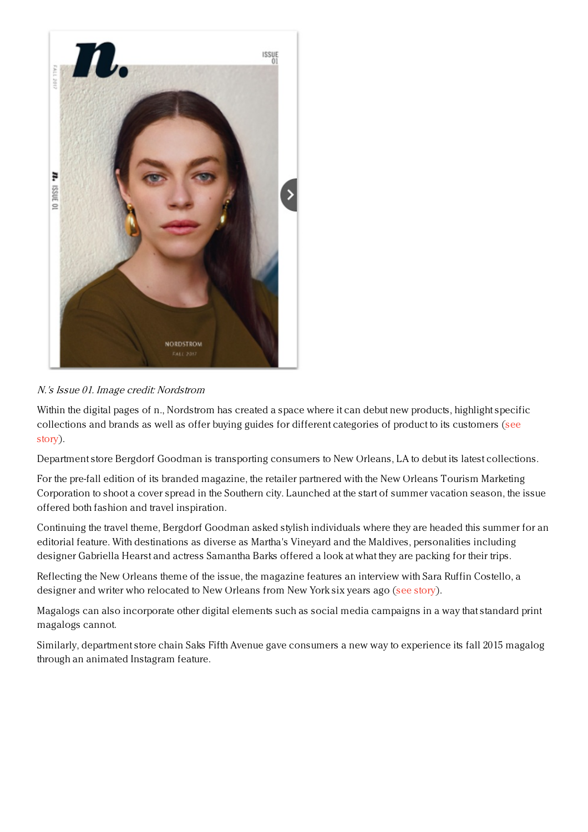

## N.'s Issue 01. Image credit: Nordstrom

Within the digital pages of n., Nordstrom has created a space where it can debut new products, highlight specific [collections](https://www.luxurydaily.com/nordstrom-enters-the-world-of-magalogs-with-inaugural-issue-of-n-magazine/) and brands as well as offer buying guides for different categories of product to its customers (see story).

Department store Bergdorf Goodman is transporting consumers to New Orleans, LA to debut its latest collections.

For the pre-fall edition of its branded magazine, the retailer partnered with the New Orleans Tourism Marketing Corporation to shoot a cover spread in the Southern city. Launched at the start of summer vacation season, the issue offered both fashion and travel inspiration.

Continuing the travel theme, Bergdorf Goodman asked stylish individuals where they are headed this summer for an editorial feature. With destinations as diverse as Martha's Vineyard and the Maldives, personalities including designer Gabriella Hearst and actress Samantha Barks offered a look at what they are packing for their trips.

Reflecting the New Orleans theme of the issue, the magazine features an interview with Sara Ruffin Costello, a designer and writer who relocated to New Orleans from New York six years ago (see [story](https://www.luxurydaily.com/bergdorf-goodman-decamps-for-big-easy-in-pre-fall-magalog/)).

Magalogs can also incorporate other digital elements such as social media campaigns in a way that standard print magalogs cannot.

Similarly, department store chain Saks Fifth Avenue gave consumers a new way to experience its fall 2015 magalog through an animated Instagram feature.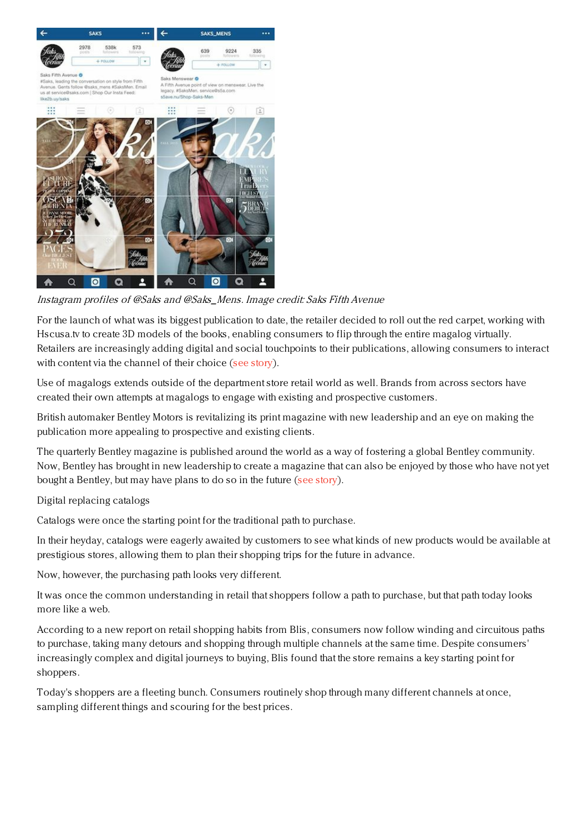

Instagram profiles of @Saks and @Saks\_Mens. Image credit: Saks Fifth Avenue

For the launch of what was its biggest publication to date, the retailer decided to roll out the red carpet, working with Hscusa.tv to create 3D models of the books, enabling consumers to flip through the entire magalog virtually. Retailers are increasingly adding digital and social touchpoints to their publications, allowing consumers to interact with content via the channel of their choice (see [story](https://www.luxurydaily.com/saks-brings-fall-magalog-to-life-through-instagram-stunt/)).

Use of magalogs extends outside of the department store retail world as well. Brands from across sectors have created their own attempts at magalogs to engage with existing and prospective customers.

British automaker Bentley Motors is revitalizing its print magazine with new leadership and an eye on making the publication more appealing to prospective and existing clients.

The quarterly Bentley magazine is published around the world as a way of fostering a global Bentley community. Now, Bentley has brought in new leadership to create a magazine that can also be enjoyed by those who have not yet bought a Bentley, but may have plans to do so in the future (see [story](https://www.luxurydaily.com/bentley-magazine-gets-new-leadership-and-new-creative-direction/)).

Digital replacing catalogs

Catalogs were once the starting point for the traditional path to purchase.

In their heyday, catalogs were eagerly awaited by customers to see what kinds of new products would be available at prestigious stores, allowing them to plan their shopping trips for the future in advance.

Now, however, the purchasing path looks very different.

It was once the common understanding in retail that shoppers follow a path to purchase, but that path today looks more like a web.

According to a new report on retail shopping habits from Blis, consumers now follow winding and circuitous paths to purchase, taking many detours and shopping through multiple channels at the same time. Despite consumers' increasingly complex and digital journeys to buying, Blis found that the store remains a key starting point for shoppers.

Today's shoppers are a fleeting bunch. Consumers routinely shop through many different channels at once, sampling different things and scouring for the best prices.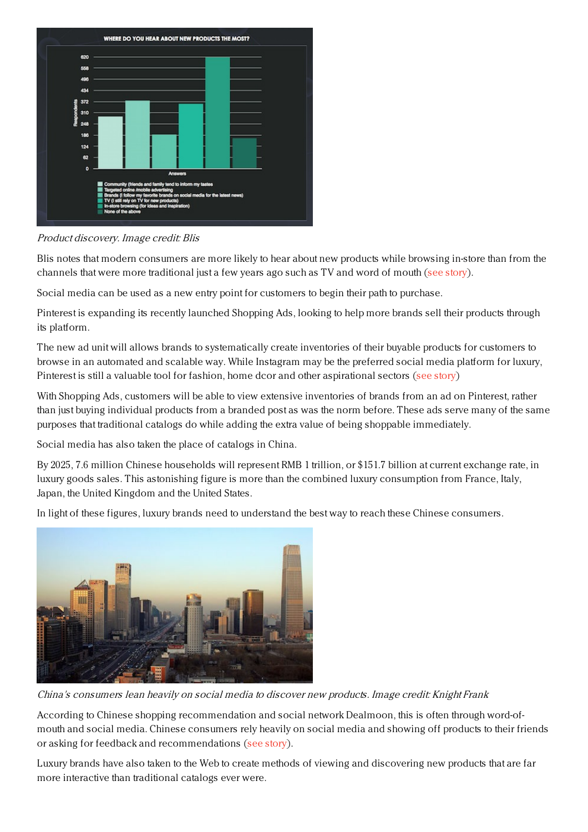

Product discovery. Image credit: Blis

Blis notes that modern consumers are more likely to hear about new products while browsing in-store than from the channels that were more traditional just a few years ago such as TV and word of mouth (see [story](https://www.luxurydaily.com/the-traditional-retail-path-to-purchase-has-been-completely-upended-report/)).

Social media can be used as a new entry point for customers to begin their path to purchase.

Pinterest is expanding its recently launched Shopping Ads, looking to help more brands sell their products through its platform.

The new ad unit will allows brands to systematically create inventories of their buyable products for customers to browse in an automated and scalable way. While Instagram may be the preferred social media platform for luxury, Pinterest is still a valuable tool for fashion, home dcor and other aspirational sectors (see [story](https://www.luxurydaily.com/pinterests-shoppable-ads-aim-to-link-discovery-and-ecommerce/))

With Shopping Ads, customers will be able to view extensive inventories of brands from an ad on Pinterest, rather than just buying individual products from a branded post as was the norm before. These ads serve many of the same purposes that traditional catalogs do while adding the extra value of being shoppable immediately.

Social media has also taken the place of catalogs in China.

By 2025, 7.6 million Chinese households will represent RMB 1 trillion, or \$151.7 billion at current exchange rate, in luxury goods sales. This astonishing figure is more than the combined luxury consumption from France, Italy, Japan, the United Kingdom and the United States.

In light of these figures, luxury brands need to understand the best way to reach these Chinese consumers.



China's consumers lean heavily on social media to discover new products. Image credit: Knight Frank

According to Chinese shopping recommendation and social network Dealmoon, this is often through word-ofmouth and social media. Chinese consumers rely heavily on social media and showing off products to their friends or asking for feedback and recommendations (see [story](https://www.luxurydaily.com/chinese-consumers-rely-heavily-on-digital-word-of-mouth-for-luxury-discovery/)).

Luxury brands have also taken to the Web to create methods of viewing and discovering new products that are far more interactive than traditional catalogs ever were.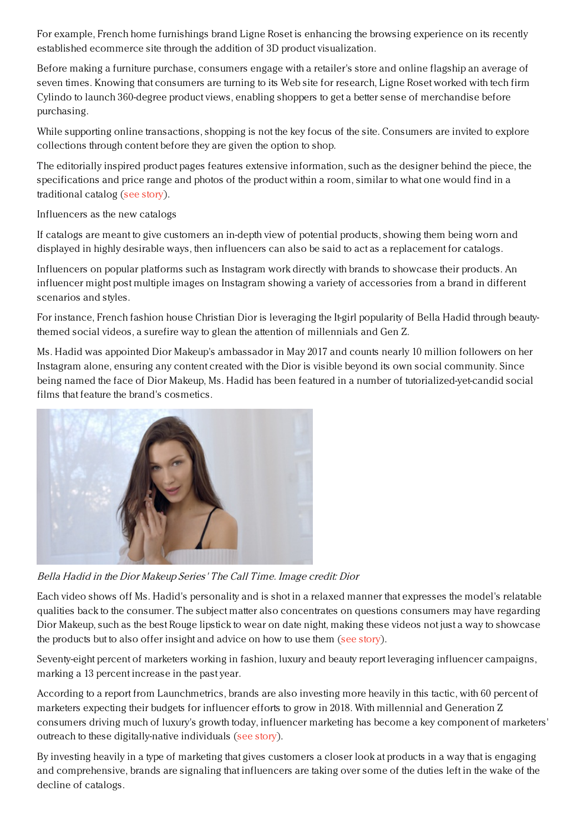For example, French home furnishings brand Ligne Roset is enhancing the browsing experience on its recently established ecommerce site through the addition of 3D product visualization.

Before making a furniture purchase, consumers engage with a retailer's store and online flagship an average of seven times. Knowing that consumers are turning to its Web site for research, Ligne Roset worked with tech firm Cylindo to launch 360-degree product views, enabling shoppers to get a better sense of merchandise before purchasing.

While supporting online transactions, shopping is not the key focus of the site. Consumers are invited to explore collections through content before they are given the option to shop.

The editorially inspired product pages features extensive information, such as the designer behind the piece, the specifications and price range and photos of the product within a room, similar to what one would find in a traditional catalog (see [story](https://www.luxurydaily.com/ligne-roset-aids-digital-furniture-discovery-through-visualizer/)).

Influencers as the new catalogs

If catalogs are meant to give customers an in-depth view of potential products, showing them being worn and displayed in highly desirable ways, then influencers can also be said to act as a replacement for catalogs.

Influencers on popular platforms such as Instagram work directly with brands to showcase their products. An influencer might post multiple images on Instagram showing a variety of accessories from a brand in different scenarios and styles.

For instance, French fashion house Christian Dior is leveraging the It-girl popularity of Bella Hadid through beautythemed social videos, a surefire way to glean the attention of millennials and Gen Z.

Ms. Hadid was appointed Dior Makeup's ambassador in May 2017 and counts nearly 10 million followers on her Instagram alone, ensuring any content created with the Dior is visible beyond its own social community. Since being named the face of Dior Makeup, Ms. Hadid has been featured in a number of tutorialized-yet-candid social films that feature the brand's cosmetics.



Bella Hadid in the Dior Makeup Series' The Call Time. Image credit: Dior

Each video shows off Ms. Hadid's personality and is shot in a relaxed manner that expresses the model's relatable qualities back to the consumer. The subject matter also concentrates on questions consumers may have regarding Dior Makeup, such as the best Rouge lipstick to wear on date night, making these videos not just a way to showcase the products but to also offer insight and advice on how to use them (see [story](https://www.luxurydaily.com/dior-serializes-bella-hadid-fronted-beauty-content-to-retain-youth-interest/)).

Seventy-eight percent of marketers working in fashion, luxury and beauty report leveraging influencer campaigns, marking a 13 percent increase in the past year.

According to a report from Launchmetrics, brands are also investing more heavily in this tactic, with 60 percent of marketers expecting their budgets for influencer efforts to grow in 2018. With millennial and Generation Z consumers driving much of luxury's growth today, influencer marketing has become a key component of marketers' outreach to these digitally-native individuals (see [story](https://www.luxurydaily.com/influencer-marketing-adoption-grows-as-brands-seek-gens-y-z/)).

By investing heavily in a type of marketing that gives customers a closer look at products in a way that is engaging and comprehensive, brands are signaling that influencers are taking over some of the duties left in the wake of the decline of catalogs.